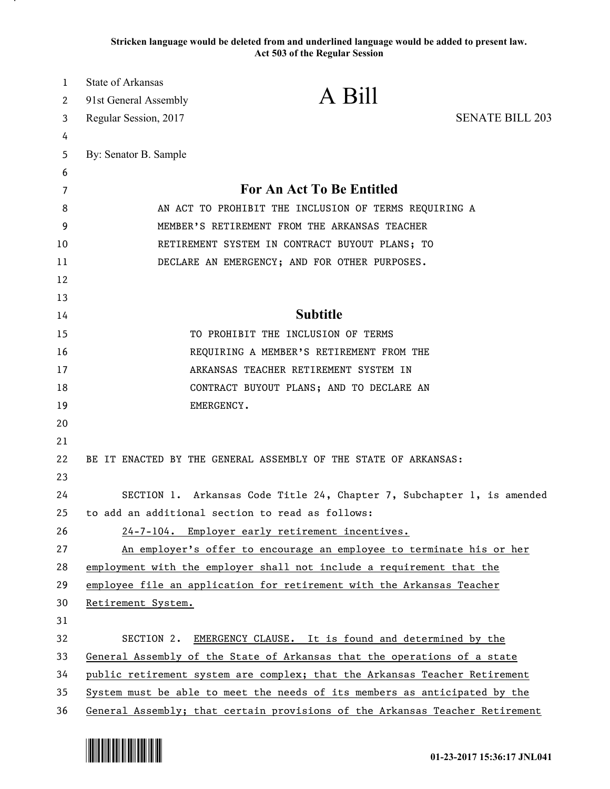**Stricken language would be deleted from and underlined language would be added to present law. Act 503 of the Regular Session**

| $\mathbf{1}$ | <b>State of Arkansas</b>                              |                                                                              |                        |
|--------------|-------------------------------------------------------|------------------------------------------------------------------------------|------------------------|
| 2            | 91st General Assembly                                 | A Bill                                                                       |                        |
| 3            | Regular Session, 2017                                 |                                                                              | <b>SENATE BILL 203</b> |
| 4            |                                                       |                                                                              |                        |
| 5            | By: Senator B. Sample                                 |                                                                              |                        |
| 6            |                                                       |                                                                              |                        |
| 7            |                                                       | <b>For An Act To Be Entitled</b>                                             |                        |
| 8            | AN ACT TO PROHIBIT THE INCLUSION OF TERMS REQUIRING A |                                                                              |                        |
| 9            | MEMBER'S RETIREMENT FROM THE ARKANSAS TEACHER         |                                                                              |                        |
| 10           |                                                       | RETIREMENT SYSTEM IN CONTRACT BUYOUT PLANS; TO                               |                        |
| 11           |                                                       | DECLARE AN EMERGENCY; AND FOR OTHER PURPOSES.                                |                        |
| 12           |                                                       |                                                                              |                        |
| 13           |                                                       |                                                                              |                        |
| 14           |                                                       | <b>Subtitle</b>                                                              |                        |
| 15           |                                                       | TO PROHIBIT THE INCLUSION OF TERMS                                           |                        |
| 16           |                                                       | REQUIRING A MEMBER'S RETIREMENT FROM THE                                     |                        |
| 17           |                                                       | ARKANSAS TEACHER RETIREMENT SYSTEM IN                                        |                        |
| 18           |                                                       | CONTRACT BUYOUT PLANS; AND TO DECLARE AN                                     |                        |
| 19           |                                                       | EMERGENCY.                                                                   |                        |
| 20           |                                                       |                                                                              |                        |
| 21           |                                                       |                                                                              |                        |
| 22           |                                                       | BE IT ENACTED BY THE GENERAL ASSEMBLY OF THE STATE OF ARKANSAS:              |                        |
| 23           |                                                       |                                                                              |                        |
| 24           |                                                       | SECTION 1. Arkansas Code Title 24, Chapter 7, Subchapter 1, is amended       |                        |
| 25           |                                                       | to add an additional section to read as follows:                             |                        |
| 26           |                                                       | 24-7-104. Employer early retirement incentives.                              |                        |
| 27           |                                                       | An employer's offer to encourage an employee to terminate his or her         |                        |
| 28           |                                                       | employment with the employer shall not include a requirement that the        |                        |
| 29           |                                                       | employee file an application for retirement with the Arkansas Teacher        |                        |
| 30           | Retirement System.                                    |                                                                              |                        |
| 31           |                                                       |                                                                              |                        |
| 32           | SECTION 2.                                            | EMERGENCY CLAUSE. It is found and determined by the                          |                        |
| 33           |                                                       | General Assembly of the State of Arkansas that the operations of a state     |                        |
| 34           |                                                       | public retirement system are complex; that the Arkansas Teacher Retirement   |                        |
| 35           |                                                       | System must be able to meet the needs of its members as anticipated by the   |                        |
| 36           |                                                       | General Assembly; that certain provisions of the Arkansas Teacher Retirement |                        |